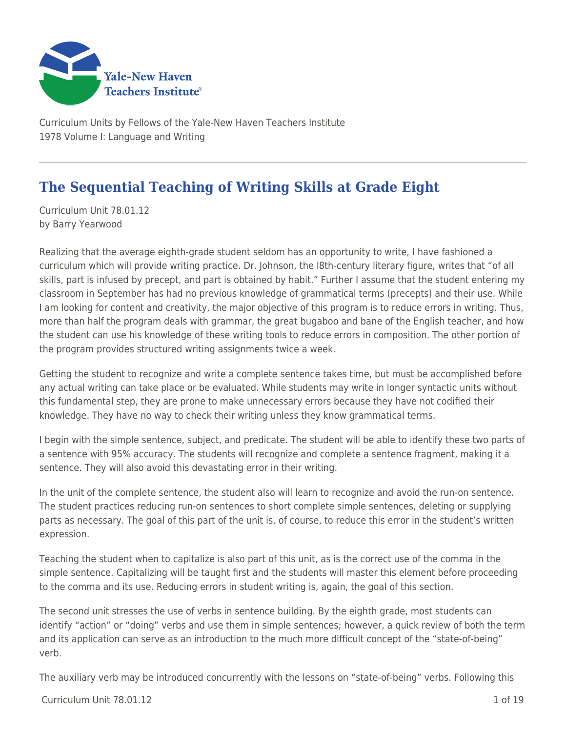

Curriculum Units by Fellows of the Yale-New Haven Teachers Institute 1978 Volume I: Language and Writing

# **The Sequential Teaching of Writing Skills at Grade Eight**

Curriculum Unit 78.01.12 by Barry Yearwood

Realizing that the average eighth-grade student seldom has an opportunity to write, I have fashioned a curriculum which will provide writing practice. Dr. Johnson, the l8th-century literary figure, writes that "of all skills, part is infused by precept, and part is obtained by habit." Further I assume that the student entering my classroom in September has had no previous knowledge of grammatical terms (precepts) and their use. While I am looking for content and creativity, the major objective of this program is to reduce errors in writing. Thus, more than half the program deals with grammar, the great bugaboo and bane of the English teacher, and how the student can use his knowledge of these writing tools to reduce errors in composition. The other portion of the program provides structured writing assignments twice a week.

Getting the student to recognize and write a complete sentence takes time, but must be accomplished before any actual writing can take place or be evaluated. While students may write in longer syntactic units without this fundamental step, they are prone to make unnecessary errors because they have not codified their knowledge. They have no way to check their writing unless they know grammatical terms.

I begin with the simple sentence, subject, and predicate. The student will be able to identify these two parts of a sentence with 95% accuracy. The students will recognize and complete a sentence fragment, making it a sentence. They will also avoid this devastating error in their writing.

In the unit of the complete sentence, the student also will learn to recognize and avoid the run-on sentence. The student practices reducing run-on sentences to short complete simple sentences, deleting or supplying parts as necessary. The goal of this part of the unit is, of course, to reduce this error in the student's written expression.

Teaching the student when to capitalize is also part of this unit, as is the correct use of the comma in the simple sentence. Capitalizing will be taught first and the students will master this element before proceeding to the comma and its use. Reducing errors in student writing is, again, the goal of this section.

The second unit stresses the use of verbs in sentence building. By the eighth grade, most students can identify "action" or "doing" verbs and use them in simple sentences; however, a quick review of both the term and its application can serve as an introduction to the much more difficult concept of the "state-of-being" verb.

The auxiliary verb may be introduced concurrently with the lessons on "state-of-being" verbs. Following this

 $C$ urriculum Unit 78.01.12  $\qquad \qquad$  1.06.19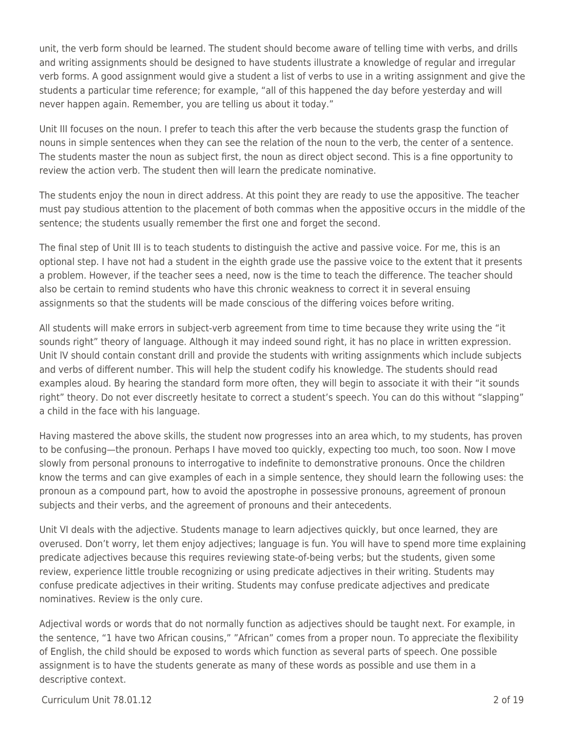unit, the verb form should be learned. The student should become aware of telling time with verbs, and drills and writing assignments should be designed to have students illustrate a knowledge of regular and irregular verb forms. A good assignment would give a student a list of verbs to use in a writing assignment and give the students a particular time reference; for example, "all of this happened the day before yesterday and will never happen again. Remember, you are telling us about it today."

Unit III focuses on the noun. I prefer to teach this after the verb because the students grasp the function of nouns in simple sentences when they can see the relation of the noun to the verb, the center of a sentence. The students master the noun as subject first, the noun as direct object second. This is a fine opportunity to review the action verb. The student then will learn the predicate nominative.

The students enjoy the noun in direct address. At this point they are ready to use the appositive. The teacher must pay studious attention to the placement of both commas when the appositive occurs in the middle of the sentence; the students usually remember the first one and forget the second.

The final step of Unit III is to teach students to distinguish the active and passive voice. For me, this is an optional step. I have not had a student in the eighth grade use the passive voice to the extent that it presents a problem. However, if the teacher sees a need, now is the time to teach the difference. The teacher should also be certain to remind students who have this chronic weakness to correct it in several ensuing assignments so that the students will be made conscious of the differing voices before writing.

All students will make errors in subject-verb agreement from time to time because they write using the "it sounds right" theory of language. Although it may indeed sound right, it has no place in written expression. Unit lV should contain constant drill and provide the students with writing assignments which include subjects and verbs of different number. This will help the student codify his knowledge. The students should read examples aloud. By hearing the standard form more often, they will begin to associate it with their "it sounds right" theory. Do not ever discreetly hesitate to correct a student's speech. You can do this without "slapping" a child in the face with his language.

Having mastered the above skills, the student now progresses into an area which, to my students, has proven to be confusing—the pronoun. Perhaps I have moved too quickly, expecting too much, too soon. Now I move slowly from personal pronouns to interrogative to indefinite to demonstrative pronouns. Once the children know the terms and can give examples of each in a simple sentence, they should learn the following uses: the pronoun as a compound part, how to avoid the apostrophe in possessive pronouns, agreement of pronoun subjects and their verbs, and the agreement of pronouns and their antecedents.

Unit VI deals with the adjective. Students manage to learn adjectives quickly, but once learned, they are overused. Don't worry, let them enjoy adjectives; language is fun. You will have to spend more time explaining predicate adjectives because this requires reviewing state-of-being verbs; but the students, given some review, experience little trouble recognizing or using predicate adjectives in their writing. Students may confuse predicate adjectives in their writing. Students may confuse predicate adjectives and predicate nominatives. Review is the only cure.

Adjectival words or words that do not normally function as adjectives should be taught next. For example, in the sentence, "1 have two African cousins," "African" comes from a proper noun. To appreciate the flexibility of English, the child should be exposed to words which function as several parts of speech. One possible assignment is to have the students generate as many of these words as possible and use them in a descriptive context.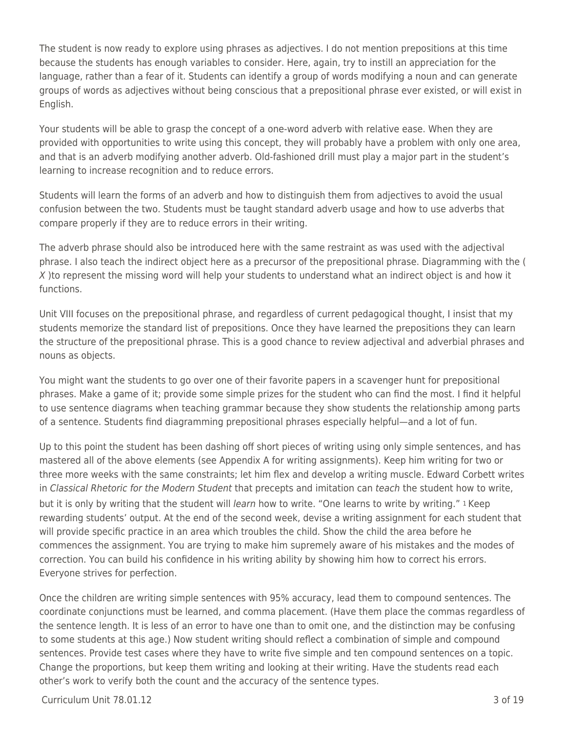The student is now ready to explore using phrases as adjectives. I do not mention prepositions at this time because the students has enough variables to consider. Here, again, try to instill an appreciation for the language, rather than a fear of it. Students can identify a group of words modifying a noun and can generate groups of words as adjectives without being conscious that a prepositional phrase ever existed, or will exist in English.

Your students will be able to grasp the concept of a one-word adverb with relative ease. When they are provided with opportunities to write using this concept, they will probably have a problem with only one area, and that is an adverb modifying another adverb. Old-fashioned drill must play a major part in the student's learning to increase recognition and to reduce errors.

Students will learn the forms of an adverb and how to distinguish them from adjectives to avoid the usual confusion between the two. Students must be taught standard adverb usage and how to use adverbs that compare properly if they are to reduce errors in their writing.

The adverb phrase should also be introduced here with the same restraint as was used with the adjectival phrase. I also teach the indirect object here as a precursor of the prepositional phrase. Diagramming with the ( X )to represent the missing word will help your students to understand what an indirect object is and how it functions.

Unit VIII focuses on the prepositional phrase, and regardless of current pedagogical thought, I insist that my students memorize the standard list of prepositions. Once they have learned the prepositions they can learn the structure of the prepositional phrase. This is a good chance to review adjectival and adverbial phrases and nouns as objects.

You might want the students to go over one of their favorite papers in a scavenger hunt for prepositional phrases. Make a game of it; provide some simple prizes for the student who can find the most. I find it helpful to use sentence diagrams when teaching grammar because they show students the relationship among parts of a sentence. Students find diagramming prepositional phrases especially helpful—and a lot of fun.

Up to this point the student has been dashing off short pieces of writing using only simple sentences, and has mastered all of the above elements (see Appendix A for writing assignments). Keep him writing for two or three more weeks with the same constraints; let him flex and develop a writing muscle. Edward Corbett writes in Classical Rhetoric for the Modern Student that precepts and imitation can teach the student how to write, but it is only by writing that the student will learn how to write. "One learns to write by writing." I Keep rewarding students' output. At the end of the second week, devise a writing assignment for each student that will provide specific practice in an area which troubles the child. Show the child the area before he commences the assignment. You are trying to make him supremely aware of his mistakes and the modes of correction. You can build his confidence in his writing ability by showing him how to correct his errors. Everyone strives for perfection.

Once the children are writing simple sentences with 95% accuracy, lead them to compound sentences. The coordinate conjunctions must be learned, and comma placement. (Have them place the commas regardless of the sentence length. It is less of an error to have one than to omit one, and the distinction may be confusing to some students at this age.) Now student writing should reflect a combination of simple and compound sentences. Provide test cases where they have to write five simple and ten compound sentences on a topic. Change the proportions, but keep them writing and looking at their writing. Have the students read each other's work to verify both the count and the accuracy of the sentence types.

 $C$ urriculum Unit 78.01.12  $\overline{3}$  of 19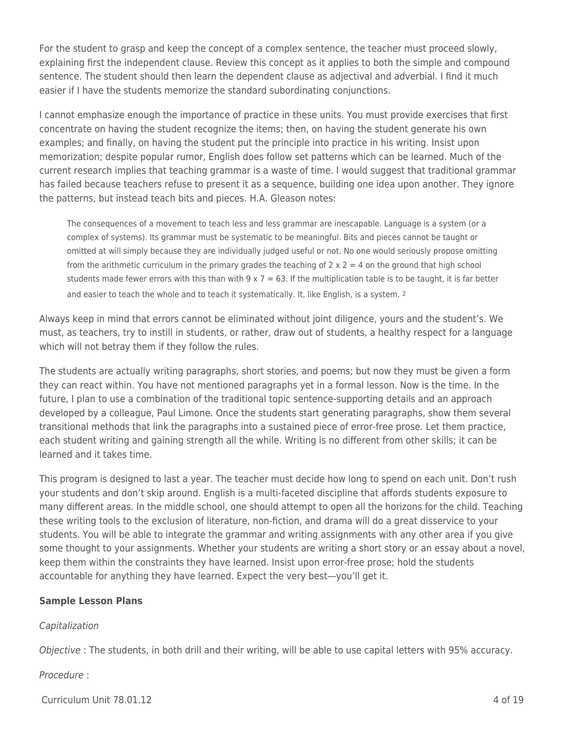For the student to grasp and keep the concept of a complex sentence, the teacher must proceed slowly, explaining first the independent clause. Review this concept as it applies to both the simple and compound sentence. The student should then learn the dependent clause as adjectival and adverbial. I find it much easier if I have the students memorize the standard subordinating conjunctions.

I cannot emphasize enough the importance of practice in these units. You must provide exercises that first concentrate on having the student recognize the items; then, on having the student generate his own examples; and finally, on having the student put the principle into practice in his writing. Insist upon memorization; despite popular rumor, English does follow set patterns which can be learned. Much of the current research implies that teaching grammar is a waste of time. I would suggest that traditional grammar has failed because teachers refuse to present it as a sequence, building one idea upon another. They ignore the patterns, but instead teach bits and pieces. H.A. Gleason notes:

The consequences of a movement to teach less and less grammar are inescapable. Language is a system (or a complex of systems). Its grammar must be systematic to be meaningful. Bits and pieces cannot be taught or omitted at will simply because they are individually judged useful or not. No one would seriously propose omitting from the arithmetic curriculum in the primary grades the teaching of  $2 \times 2 = 4$  on the ground that high school students made fewer errors with this than with  $9 \times 7 = 63$ . If the multiplication table is to be taught, it is far better and easier to teach the whole and to teach it systematically. It, like English, is a system. <sup>2</sup>

Always keep in mind that errors cannot be eliminated without joint diligence, yours and the student's. We must, as teachers, try to instill in students, or rather, draw out of students, a healthy respect for a language which will not betray them if they follow the rules.

The students are actually writing paragraphs, short stories, and poems; but now they must be given a form they can react within. You have not mentioned paragraphs yet in a formal lesson. Now is the time. In the future, I plan to use a combination of the traditional topic sentence-supporting details and an approach developed by a colleague, Paul Limone. Once the students start generating paragraphs, show them several transitional methods that link the paragraphs into a sustained piece of error-free prose. Let them practice, each student writing and gaining strength all the while. Writing is no different from other skills; it can be learned and it takes time.

This program is designed to last a year. The teacher must decide how long to spend on each unit. Don't rush your students and don't skip around. English is a multi-faceted discipline that affords students exposure to many different areas. In the middle school, one should attempt to open all the horizons for the child. Teaching these writing tools to the exclusion of literature, non-fiction, and drama will do a great disservice to your students. You will be able to integrate the grammar and writing assignments with any other area if you give some thought to your assignments. Whether your students are writing a short story or an essay about a novel, keep them within the constraints they have learned. Insist upon error-free prose; hold the students accountable for anything they have learned. Expect the very best—you'll get it.

## **Sample Lesson Plans**

## Capitalization

Objective : The students, in both drill and their writing, will be able to use capital letters with 95% accuracy.

Procedure :

 $C$ urriculum Unit 78.01.12  $\qquad \qquad \qquad$  4 of 19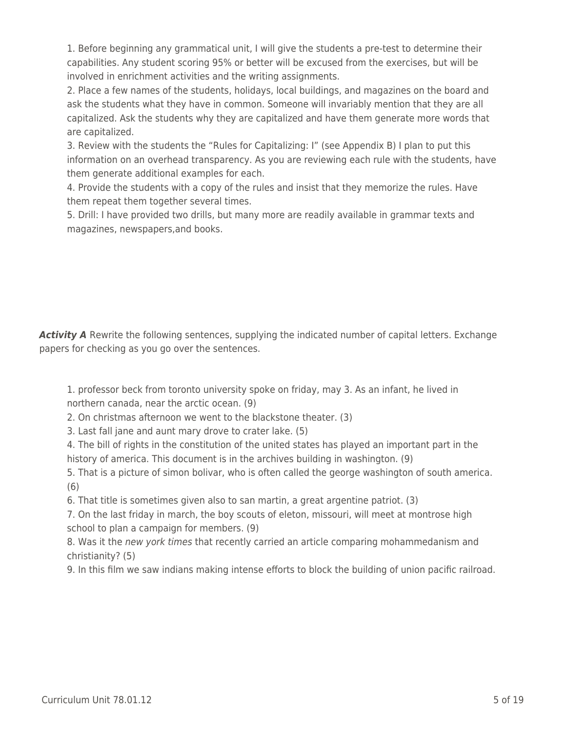1. Before beginning any grammatical unit, I will give the students a pre-test to determine their capabilities. Any student scoring 95% or better will be excused from the exercises, but will be involved in enrichment activities and the writing assignments.

2. Place a few names of the students, holidays, local buildings, and magazines on the board and ask the students what they have in common. Someone will invariably mention that they are all capitalized. Ask the students why they are capitalized and have them generate more words that are capitalized.

3. Review with the students the "Rules for Capitalizing: I" (see Appendix B) I plan to put this information on an overhead transparency. As you are reviewing each rule with the students, have them generate additional examples for each.

4. Provide the students with a copy of the rules and insist that they memorize the rules. Have them repeat them together several times.

5. Drill: I have provided two drills, but many more are readily available in grammar texts and magazines, newspapers,and books.

Activity A Rewrite the following sentences, supplying the indicated number of capital letters. Exchange papers for checking as you go over the sentences.

1. professor beck from toronto university spoke on friday, may 3. As an infant, he lived in northern canada, near the arctic ocean. (9)

2. On christmas afternoon we went to the blackstone theater. (3)

3. Last fall jane and aunt mary drove to crater lake. (5)

4. The bill of rights in the constitution of the united states has played an important part in the history of america. This document is in the archives building in washington. (9)

5. That is a picture of simon bolivar, who is often called the george washington of south america. (6)

6. That title is sometimes given also to san martin, a great argentine patriot. (3)

7. On the last friday in march, the boy scouts of eleton, missouri, will meet at montrose high school to plan a campaign for members. (9)

8. Was it the new york times that recently carried an article comparing mohammedanism and christianity? (5)

9. In this film we saw indians making intense efforts to block the building of union pacific railroad.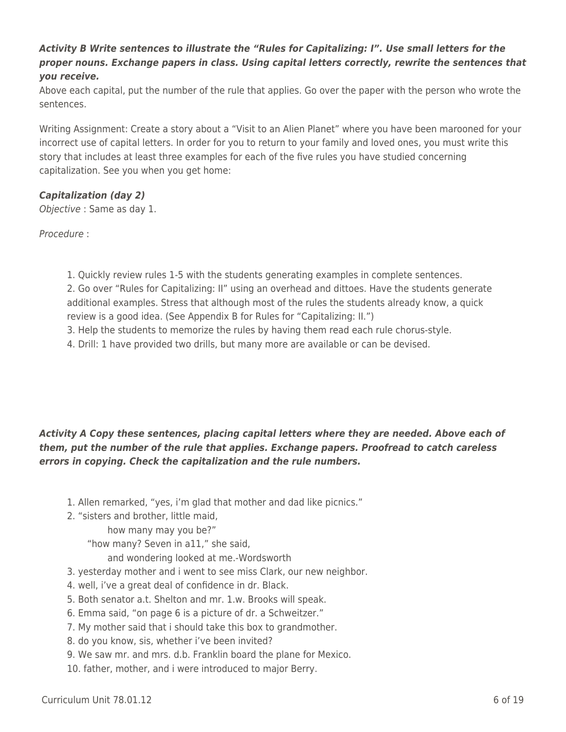## *Activity B Write sentences to illustrate the "Rules for Capitalizing: I". Use small letters for the proper nouns. Exchange papers in class. Using capital letters correctly, rewrite the sentences that you receive.*

Above each capital, put the number of the rule that applies. Go over the paper with the person who wrote the sentences.

Writing Assignment: Create a story about a "Visit to an Alien Planet" where you have been marooned for your incorrect use of capital letters. In order for you to return to your family and loved ones, you must write this story that includes at least three examples for each of the five rules you have studied concerning capitalization. See you when you get home:

## *Capitalization (day 2)*

Objective : Same as day 1.

Procedure :

1. Quickly review rules 1-5 with the students generating examples in complete sentences.

2. Go over "Rules for Capitalizing: II" using an overhead and dittoes. Have the students generate additional examples. Stress that although most of the rules the students already know, a quick review is a good idea. (See Appendix B for Rules for "Capitalizing: II.")

3. Help the students to memorize the rules by having them read each rule chorus-style.

4. Drill: 1 have provided two drills, but many more are available or can be devised.

## *Activity A Copy these sentences, placing capital letters where they are needed. Above each of them, put the number of the rule that applies. Exchange papers. Proofread to catch careless errors in copying. Check the capitalization and the rule numbers.*

- 1. Allen remarked, "yes, i'm glad that mother and dad like picnics."
- 2. "sisters and brother, little maid,

how many may you be?"

"how many? Seven in a11," she said,

and wondering looked at me.-Wordsworth

- 3. yesterday mother and i went to see miss Clark, our new neighbor.
- 4. well, i've a great deal of confidence in dr. Black.
- 5. Both senator a.t. Shelton and mr. 1.w. Brooks will speak.
- 6. Emma said, "on page 6 is a picture of dr. a Schweitzer."
- 7. My mother said that i should take this box to grandmother.
- 8. do you know, sis, whether i've been invited?
- 9. We saw mr. and mrs. d.b. Franklin board the plane for Mexico.

10. father, mother, and i were introduced to major Berry.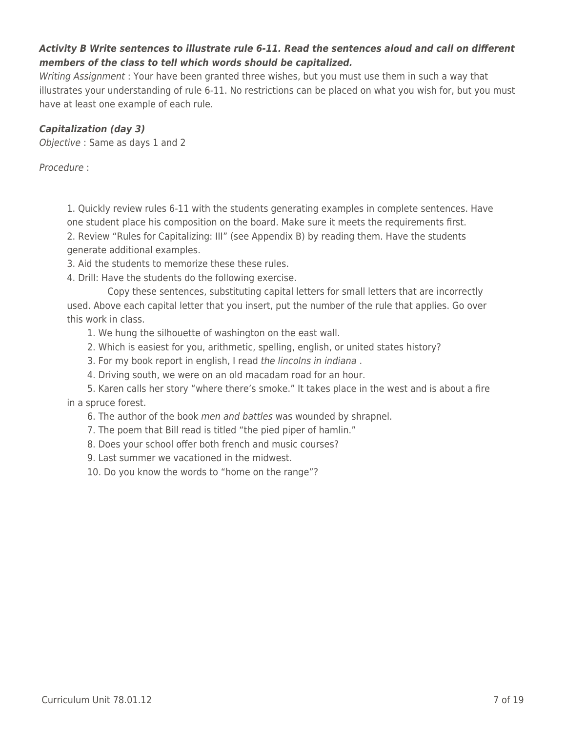## *Activity B Write sentences to illustrate rule 6-11. Read the sentences aloud and call on different members of the class to tell which words should be capitalized.*

Writing Assignment : Your have been granted three wishes, but you must use them in such a way that illustrates your understanding of rule 6-11. No restrictions can be placed on what you wish for, but you must have at least one example of each rule.

## *Capitalization (day 3)*

Objective : Same as days 1 and 2

Procedure :

1. Quickly review rules 6-11 with the students generating examples in complete sentences. Have one student place his composition on the board. Make sure it meets the requirements first.

2. Review "Rules for Capitalizing: III" (see Appendix B) by reading them. Have the students generate additional examples.

3. Aid the students to memorize these these rules.

4. Drill: Have the students do the following exercise.

Copy these sentences, substituting capital letters for small letters that are incorrectly used. Above each capital letter that you insert, put the number of the rule that applies. Go over this work in class.

1. We hung the silhouette of washington on the east wall.

- 2. Which is easiest for you, arithmetic, spelling, english, or united states history?
- 3. For my book report in english, I read the lincolns in indiana.
- 4. Driving south, we were on an old macadam road for an hour.

5. Karen calls her story "where there's smoke." It takes place in the west and is about a fire in a spruce forest.

- 6. The author of the book men and battles was wounded by shrapnel.
- 7. The poem that Bill read is titled "the pied piper of hamlin."
- 8. Does your school offer both french and music courses?
- 9. Last summer we vacationed in the midwest.

10. Do you know the words to "home on the range"?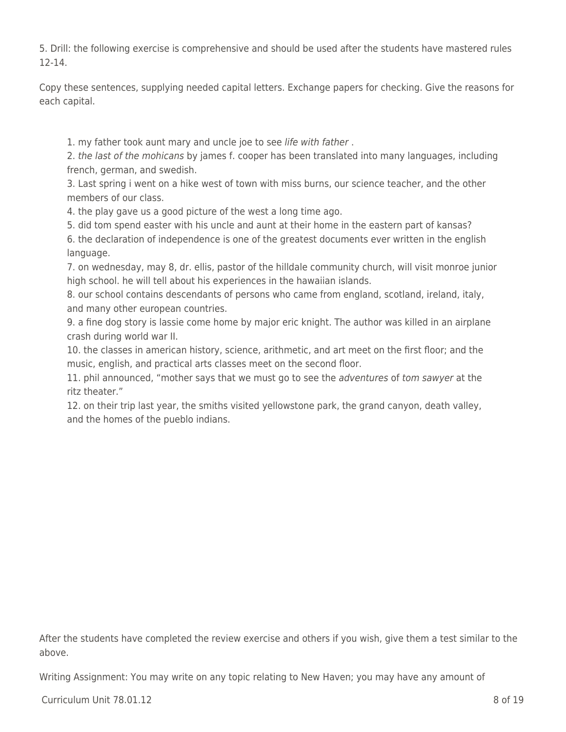5. Drill: the following exercise is comprehensive and should be used after the students have mastered rules 12-14.

Copy these sentences, supplying needed capital letters. Exchange papers for checking. Give the reasons for each capital.

1. my father took aunt mary and uncle joe to see life with father .

2. the last of the mohicans by james f. cooper has been translated into many languages, including french, german, and swedish.

3. Last spring i went on a hike west of town with miss burns, our science teacher, and the other members of our class.

4. the play gave us a good picture of the west a long time ago.

5. did tom spend easter with his uncle and aunt at their home in the eastern part of kansas?

6. the declaration of independence is one of the greatest documents ever written in the english language.

7. on wednesday, may 8, dr. ellis, pastor of the hilldale community church, will visit monroe junior high school. he will tell about his experiences in the hawaiian islands.

8. our school contains descendants of persons who came from england, scotland, ireland, italy, and many other european countries.

9. a fine dog story is lassie come home by major eric knight. The author was killed in an airplane crash during world war II.

10. the classes in american history, science, arithmetic, and art meet on the first floor; and the music, english, and practical arts classes meet on the second floor.

11. phil announced, "mother says that we must go to see the *adventures* of tom sawyer at the ritz theater."

12. on their trip last year, the smiths visited yellowstone park, the grand canyon, death valley, and the homes of the pueblo indians.

After the students have completed the review exercise and others if you wish, give them a test similar to the above.

Writing Assignment: You may write on any topic relating to New Haven; you may have any amount of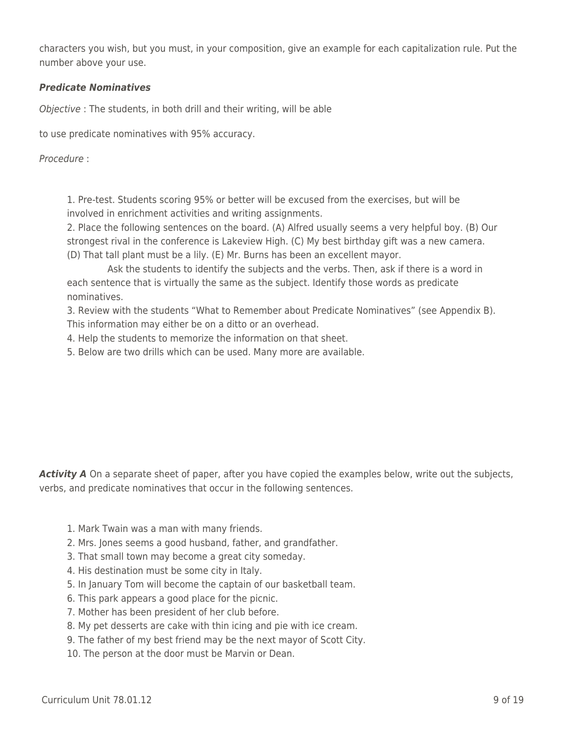characters you wish, but you must, in your composition, give an example for each capitalization rule. Put the number above your use.

### *Predicate Nominatives*

Objective : The students, in both drill and their writing, will be able

to use predicate nominatives with 95% accuracy.

Procedure :

1. Pre-test. Students scoring 95% or better will be excused from the exercises, but will be involved in enrichment activities and writing assignments.

2. Place the following sentences on the board. (A) Alfred usually seems a very helpful boy. (B) Our strongest rival in the conference is Lakeview High. (C) My best birthday gift was a new camera. (D) That tall plant must be a lily. (E) Mr. Burns has been an excellent mayor.

Ask the students to identify the subjects and the verbs. Then, ask if there is a word in each sentence that is virtually the same as the subject. Identify those words as predicate nominatives.

3. Review with the students "What to Remember about Predicate Nominatives" (see Appendix B). This information may either be on a ditto or an overhead.

4. Help the students to memorize the information on that sheet.

5. Below are two drills which can be used. Many more are available.

Activity A On a separate sheet of paper, after you have copied the examples below, write out the subjects, verbs, and predicate nominatives that occur in the following sentences.

- 1. Mark Twain was a man with many friends.
- 2. Mrs. Jones seems a good husband, father, and grandfather.
- 3. That small town may become a great city someday.
- 4. His destination must be some city in Italy.
- 5. In January Tom will become the captain of our basketball team.
- 6. This park appears a good place for the picnic.
- 7. Mother has been president of her club before.
- 8. My pet desserts are cake with thin icing and pie with ice cream.
- 9. The father of my best friend may be the next mayor of Scott City.
- 10. The person at the door must be Marvin or Dean.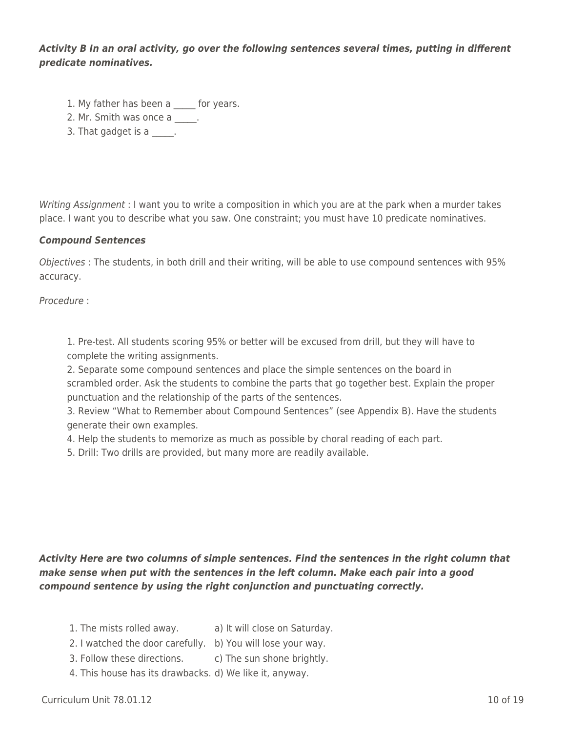*Activity B In an oral activity, go over the following sentences several times, putting in different predicate nominatives.*

- 1. My father has been a for years.
- 2. Mr. Smith was once a
- 3. That gadget is a

Writing Assignment : I want you to write a composition in which you are at the park when a murder takes place. I want you to describe what you saw. One constraint; you must have 10 predicate nominatives.

### *Compound Sentences*

Objectives : The students, in both drill and their writing, will be able to use compound sentences with 95% accuracy.

Procedure :

1. Pre-test. All students scoring 95% or better will be excused from drill, but they will have to complete the writing assignments.

2. Separate some compound sentences and place the simple sentences on the board in scrambled order. Ask the students to combine the parts that go together best. Explain the proper punctuation and the relationship of the parts of the sentences.

3. Review "What to Remember about Compound Sentences" (see Appendix B). Have the students generate their own examples.

4. Help the students to memorize as much as possible by choral reading of each part.

5. Drill: Two drills are provided, but many more are readily available.

*Activity Here are two columns of simple sentences. Find the sentences in the right column that make sense when put with the sentences in the left column. Make each pair into a good compound sentence by using the right conjunction and punctuating correctly.*

- 1. The mists rolled away. a) It will close on Saturday.
- 2. I watched the door carefully. b) You will lose your way.
- 3. Follow these directions. c) The sun shone brightly.
- 4. This house has its drawbacks. d) We like it, anyway.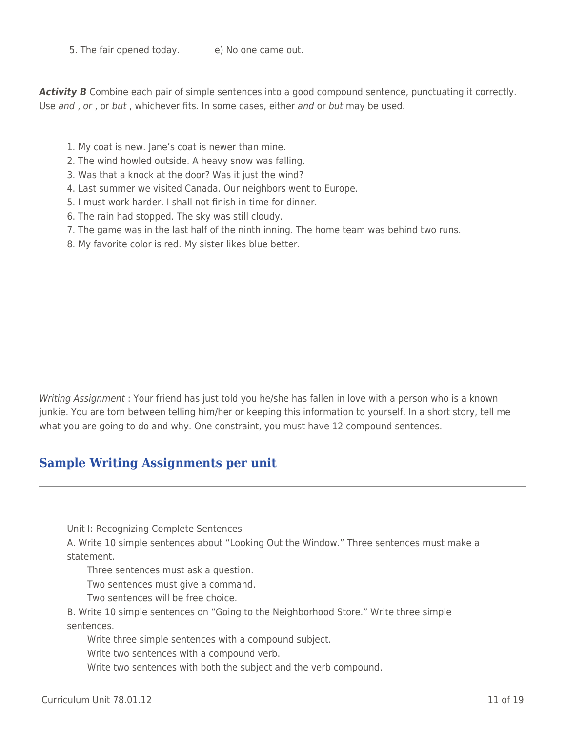5. The fair opened today. e) No one came out.

Activity **B** Combine each pair of simple sentences into a good compound sentence, punctuating it correctly. Use and , or , or but , whichever fits. In some cases, either and or but may be used.

- 1. My coat is new. Jane's coat is newer than mine.
- 2. The wind howled outside. A heavy snow was falling.
- 3. Was that a knock at the door? Was it just the wind?
- 4. Last summer we visited Canada. Our neighbors went to Europe.
- 5. I must work harder. I shall not finish in time for dinner.
- 6. The rain had stopped. The sky was still cloudy.
- 7. The game was in the last half of the ninth inning. The home team was behind two runs.
- 8. My favorite color is red. My sister likes blue better.

Writing Assignment : Your friend has just told you he/she has fallen in love with a person who is a known junkie. You are torn between telling him/her or keeping this information to yourself. In a short story, tell me what you are going to do and why. One constraint, you must have 12 compound sentences.

## **Sample Writing Assignments per unit**

Unit I: Recognizing Complete Sentences

A. Write 10 simple sentences about "Looking Out the Window." Three sentences must make a statement.

Three sentences must ask a question.

Two sentences must give a command.

Two sentences will be free choice.

B. Write 10 simple sentences on "Going to the Neighborhood Store." Write three simple sentences.

Write three simple sentences with a compound subject.

Write two sentences with a compound verb.

Write two sentences with both the subject and the verb compound.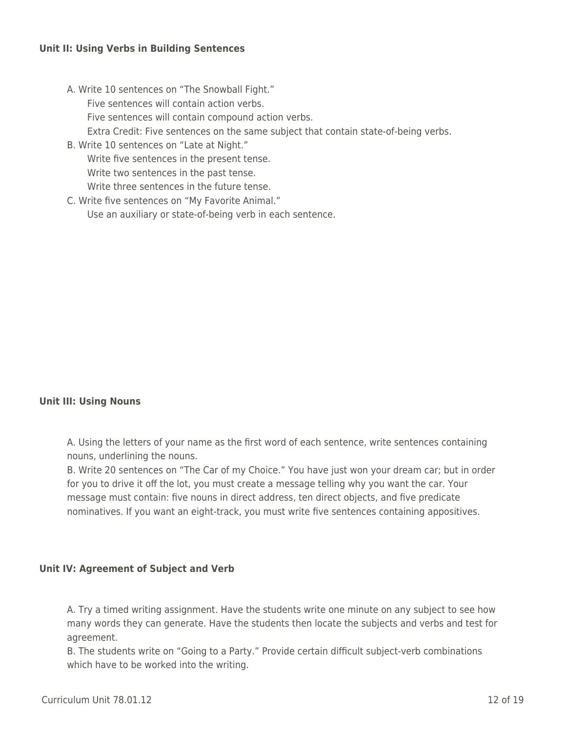#### **Unit II: Using Verbs in Building Sentences**

A. Write 10 sentences on "The Snowball Fight."

Five sentences will contain action verbs.

Five sentences will contain compound action verbs.

Extra Credit: Five sentences on the same subject that contain state-of-being verbs.

- B. Write 10 sentences on "Late at Night." Write five sentences in the present tense. Write two sentences in the past tense. Write three sentences in the future tense.
- C. Write five sentences on "My Favorite Animal." Use an auxiliary or state-of-being verb in each sentence.

## **Unit III: Using Nouns**

A. Using the letters of your name as the first word of each sentence, write sentences containing nouns, underlining the nouns.

B. Write 20 sentences on "The Car of my Choice." You have just won your dream car; but in order for you to drive it off the lot, you must create a message telling why you want the car. Your message must contain: five nouns in direct address, ten direct objects, and five predicate nominatives. If you want an eight-track, you must write five sentences containing appositives.

#### **Unit IV: Agreement of Subject and Verb**

A. Try a timed writing assignment. Have the students write one minute on any subject to see how many words they can generate. Have the students then locate the subjects and verbs and test for agreement.

B. The students write on "Going to a Party." Provide certain difficult subject-verb combinations which have to be worked into the writing.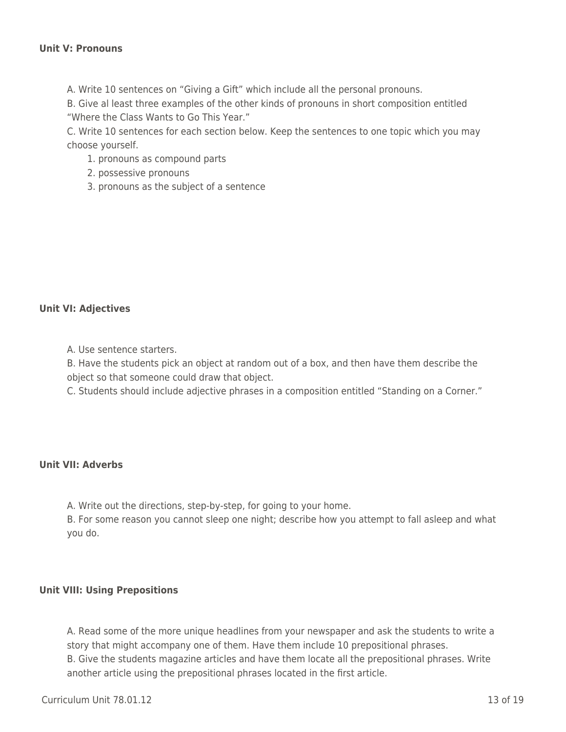A. Write 10 sentences on "Giving a Gift" which include all the personal pronouns.

B. Give al least three examples of the other kinds of pronouns in short composition entitled "Where the Class Wants to Go This Year."

C. Write 10 sentences for each section below. Keep the sentences to one topic which you may choose yourself.

1. pronouns as compound parts

- 2. possessive pronouns
- 3. pronouns as the subject of a sentence

#### **Unit VI: Adjectives**

A. Use sentence starters.

B. Have the students pick an object at random out of a box, and then have them describe the object so that someone could draw that object.

C. Students should include adjective phrases in a composition entitled "Standing on a Corner."

#### **Unit VII: Adverbs**

A. Write out the directions, step-by-step, for going to your home.

B. For some reason you cannot sleep one night; describe how you attempt to fall asleep and what you do.

#### **Unit VIII: Using Prepositions**

A. Read some of the more unique headlines from your newspaper and ask the students to write a story that might accompany one of them. Have them include 10 prepositional phrases. B. Give the students magazine articles and have them locate all the prepositional phrases. Write another article using the prepositional phrases located in the first article.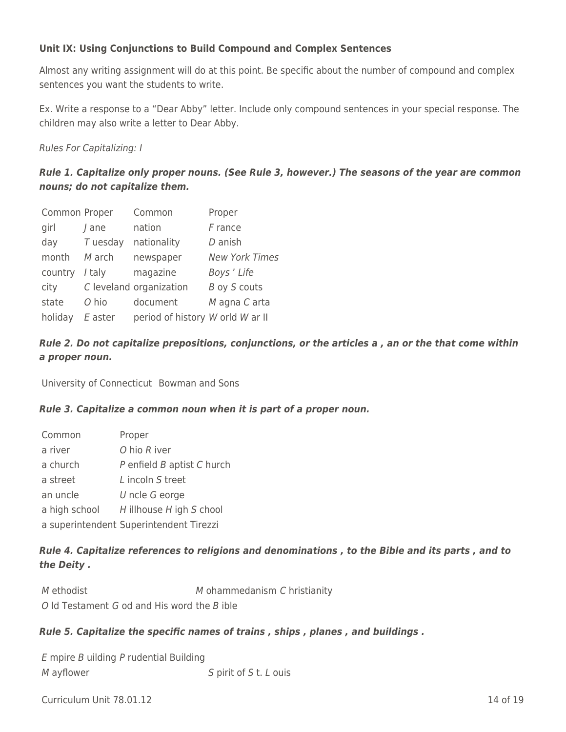## **Unit IX: Using Conjunctions to Build Compound and Complex Sentences**

Almost any writing assignment will do at this point. Be specific about the number of compound and complex sentences you want the students to write.

Ex. Write a response to a "Dear Abby" letter. Include only compound sentences in your special response. The children may also write a letter to Dear Abby.

Rules For Capitalizing: I

## *Rule 1. Capitalize only proper nouns. (See Rule 3, however.) The seasons of the year are common nouns; do not capitalize them.*

| Common Proper |            | Common                           | Proper                |
|---------------|------------|----------------------------------|-----------------------|
| girl          | / ane      | nation                           | $F$ rance             |
| day           | $T$ uesday | nationality                      | D anish               |
| month         | M arch     | newspaper                        | <b>New York Times</b> |
| country       | / taly     | magazine                         | Boys' Life            |
| city          |            | C leveland organization          | B oy S couts          |
| state         | O hio      | document                         | M agna C arta         |
| holiday       | E aster    | period of history W orld W ar II |                       |

## *Rule 2. Do not capitalize prepositions, conjunctions, or the articles a , an or the that come within a proper noun.*

University of Connecticut Bowman and Sons

## *Rule 3. Capitalize a common noun when it is part of a proper noun.*

| Common        | Proper                                  |
|---------------|-----------------------------------------|
| a river       | O hio R iver                            |
| a church      | P enfield B aptist C hurch              |
| a street      | L incoln S treet                        |
| an uncle      | $U$ ncle $G$ eorge                      |
| a high school | H illhouse H igh S chool                |
|               | a superintendent Superintendent Tirezzi |

## *Rule 4. Capitalize references to religions and denominations , to the Bible and its parts , and to the Deity .*

M ethodist M ohammedanism C hristianity O ld Testament G od and His word the B ible

## *Rule 5. Capitalize the specific names of trains , ships , planes , and buildings .*

E mpire B uilding P rudential Building M ayflower S pirit of S t. L ouis

 $C$ urriculum Unit 78.01.12 14 of 19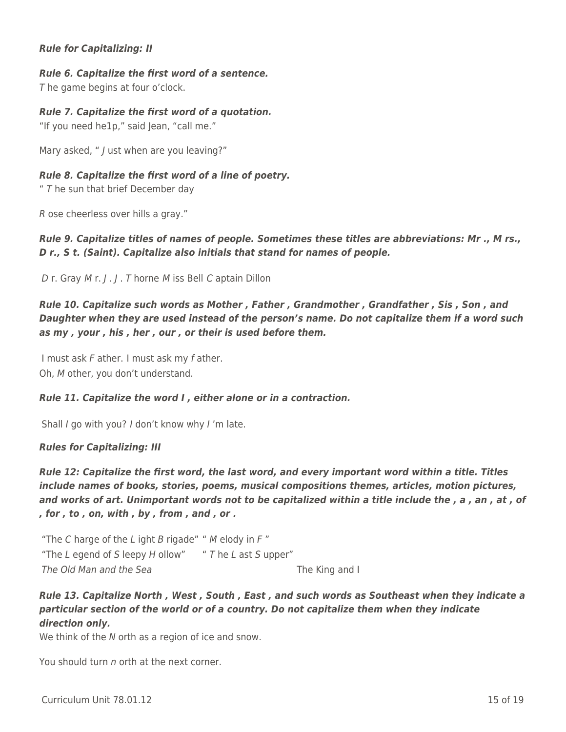### *Rule for Capitalizing: II*

#### *Rule 6. Capitalize the first word of a sentence.*

T he game begins at four o'clock.

#### *Rule 7. Capitalize the first word of a quotation.*

"If you need he1p," said Jean, "call me."

Mary asked, " / ust when are you leaving?"

#### *Rule 8. Capitalize the first word of a line of poetry.*

"  $T$  he sun that brief December day

R ose cheerless over hills a gray."

## *Rule 9. Capitalize titles of names of people. Sometimes these titles are abbreviations: Mr ., M rs., D r., S t. (Saint). Capitalize also initials that stand for names of people.*

D r. Gray M r. J . J . T horne M iss Bell C aptain Dillon

## *Rule 10. Capitalize such words as Mother , Father , Grandmother , Grandfather , Sis , Son , and Daughter when they are used instead of the person's name. Do not capitalize them if a word such as my , your , his , her , our , or their is used before them.*

I must ask F ather. I must ask my f ather. Oh, M other, you don't understand.

#### *Rule 11. Capitalize the word I , either alone or in a contraction.*

Shall I go with you? I don't know why I'm late.

#### *Rules for Capitalizing: III*

*Rule 12: Capitalize the first word, the last word, and every important word within a title. Titles include names of books, stories, poems, musical compositions themes, articles, motion pictures, and works of art. Unimportant words not to be capitalized within a title include the , a , an , at , of , for , to , on, with , by , from , and , or .*

"The C harge of the L ight B rigade" "  $M$  elody in  $F$ " "The L egend of S leepy H ollow"  $T$  he L ast S upper" The Old Man and the Sea The King and I

## *Rule 13. Capitalize North , West , South , East , and such words as Southeast when they indicate a particular section of the world or of a country. Do not capitalize them when they indicate direction only.*

We think of the N orth as a region of ice and snow.

You should turn n orth at the next corner.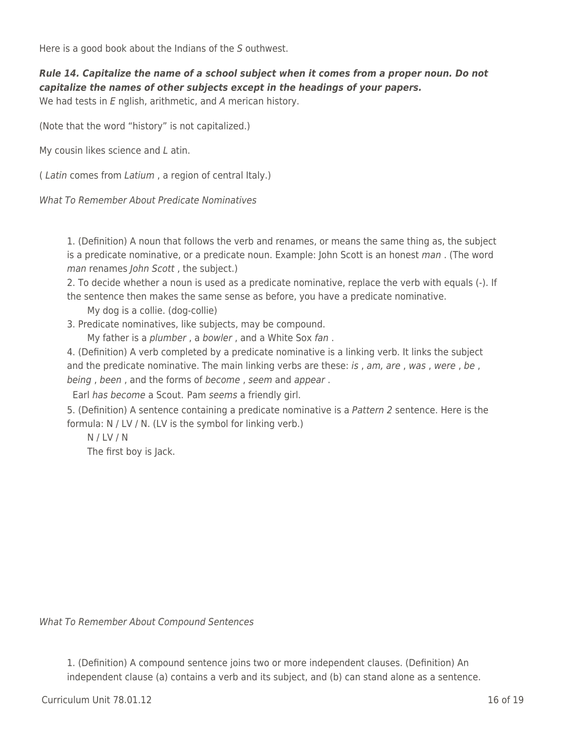Here is a good book about the Indians of the S outhwest.

*Rule 14. Capitalize the name of a school subject when it comes from a proper noun. Do not capitalize the names of other subjects except in the headings of your papers.* We had tests in E nglish, arithmetic, and A merican history.

(Note that the word "history" is not capitalized.)

My cousin likes science and L atin.

( Latin comes from Latium , a region of central Italy.)

What To Remember About Predicate Nominatives

1. (Definition) A noun that follows the verb and renames, or means the same thing as, the subject is a predicate nominative, or a predicate noun. Example: John Scott is an honest man. (The word man renames John Scott, the subject.)

2. To decide whether a noun is used as a predicate nominative, replace the verb with equals (-). If the sentence then makes the same sense as before, you have a predicate nominative.

My dog is a collie. (dog-collie)

3. Predicate nominatives, like subjects, may be compound.

My father is a plumber, a bowler, and a White Sox fan.

4. (Definition) A verb completed by a predicate nominative is a linking verb. It links the subject and the predicate nominative. The main linking verbs are these: is, am, are, was, were, be, being, been, and the forms of become, seem and appear.

Earl has become a Scout. Pam seems a friendly girl.

5. (Definition) A sentence containing a predicate nominative is a Pattern 2 sentence. Here is the formula: N / LV / N. (LV is the symbol for linking verb.)

\_\_\_\_ N / LV / N

The first boy is Jack.

What To Remember About Compound Sentences

1. (Definition) A compound sentence joins two or more independent clauses. (Definition) An independent clause (a) contains a verb and its subject, and (b) can stand alone as a sentence.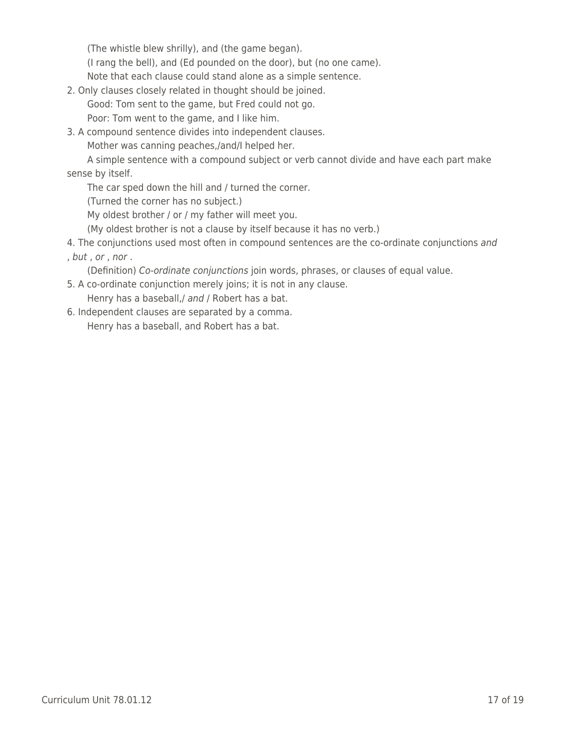(The whistle blew shrilly), and (the game began).

(I rang the bell), and (Ed pounded on the door), but (no one came).

Note that each clause could stand alone as a simple sentence.

2. Only clauses closely related in thought should be joined.

Good: Tom sent to the game, but Fred could not go.

Poor: Tom went to the game, and I like him.

3. A compound sentence divides into independent clauses.

Mother was canning peaches,/and/I helped her.

A simple sentence with a compound subject or verb cannot divide and have each part make sense by itself.

The car sped down the hill and / turned the corner.

(Turned the corner has no subject.)

My oldest brother / or / my father will meet you.

(My oldest brother is not a clause by itself because it has no verb.)

4. The conjunctions used most often in compound sentences are the co-ordinate conjunctions and

, but , or , nor .

(Definition) Co-ordinate conjunctions join words, phrases, or clauses of equal value.

- 5. A co-ordinate conjunction merely joins; it is not in any clause. Henry has a baseball,/ and / Robert has a bat.
- 6. Independent clauses are separated by a comma. Henry has a baseball, and Robert has a bat.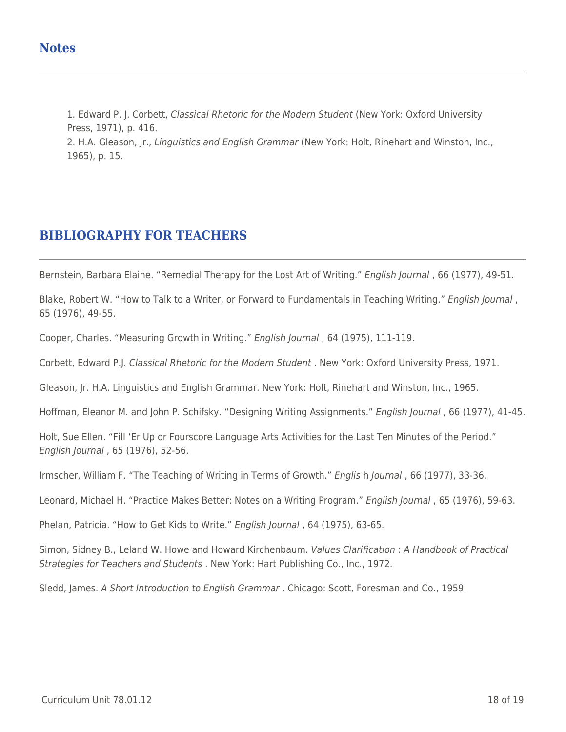1. Edward P. J. Corbett, Classical Rhetoric for the Modern Student (New York: Oxford University Press, 1971), p. 416.

2. H.A. Gleason, Jr., Linguistics and English Grammar (New York: Holt, Rinehart and Winston, Inc., 1965), p. 15.

## **BIBLIOGRAPHY FOR TEACHERS**

Bernstein, Barbara Elaine. "Remedial Therapy for the Lost Art of Writing." English Journal, 66 (1977), 49-51.

Blake, Robert W. "How to Talk to a Writer, or Forward to Fundamentals in Teaching Writing." English Journal, 65 (1976), 49-55.

Cooper, Charles. "Measuring Growth in Writing." English Journal , 64 (1975), 111-119.

Corbett, Edward P.J. Classical Rhetoric for the Modern Student . New York: Oxford University Press, 1971.

Gleason, Jr. H.A. Linguistics and English Grammar. New York: Holt, Rinehart and Winston, Inc., 1965.

Hoffman, Eleanor M. and John P. Schifsky. "Designing Writing Assignments." English Journal , 66 (1977), 41-45.

Holt, Sue Ellen. "Fill 'Er Up or Fourscore Language Arts Activities for the Last Ten Minutes of the Period." English Journal , 65 (1976), 52-56.

Irmscher, William F. "The Teaching of Writing in Terms of Growth." Englis h Journal , 66 (1977), 33-36.

Leonard, Michael H. "Practice Makes Better: Notes on a Writing Program." English Journal , 65 (1976), 59-63.

Phelan, Patricia. "How to Get Kids to Write." English Journal , 64 (1975), 63-65.

Simon, Sidney B., Leland W. Howe and Howard Kirchenbaum. Values Clarification : A Handbook of Practical Strategies for Teachers and Students . New York: Hart Publishing Co., Inc., 1972.

Sledd, James. A Short Introduction to English Grammar . Chicago: Scott, Foresman and Co., 1959.